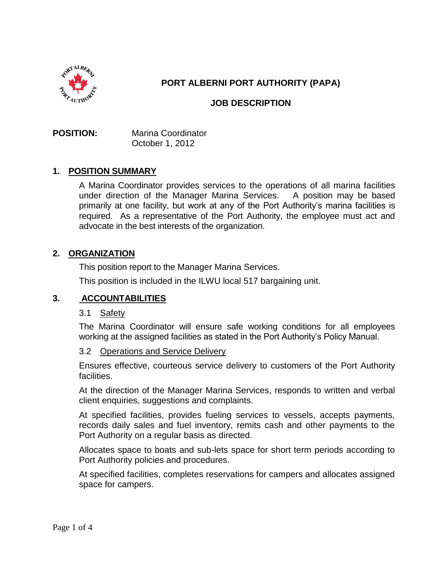

# **PORT ALBERNI PORT AUTHORITY (PAPA)**

# **JOB DESCRIPTION**

**POSITION:** Marina Coordinator October 1, 2012

# **1. POSITION SUMMARY**

A Marina Coordinator provides services to the operations of all marina facilities under direction of the Manager Marina Services. A position may be based primarily at one facility, but work at any of the Port Authority's marina facilities is required. As a representative of the Port Authority, the employee must act and advocate in the best interests of the organization.

# **2. ORGANIZATION**

This position report to the Manager Marina Services.

This position is included in the ILWU local 517 bargaining unit.

### **3. ACCOUNTABILITIES**

### 3.1 Safety

The Marina Coordinator will ensure safe working conditions for all employees working at the assigned facilities as stated in the Port Authority's Policy Manual.

#### 3.2 Operations and Service Delivery

Ensures effective, courteous service delivery to customers of the Port Authority facilities.

At the direction of the Manager Marina Services, responds to written and verbal client enquiries, suggestions and complaints.

At specified facilities, provides fueling services to vessels, accepts payments, records daily sales and fuel inventory, remits cash and other payments to the Port Authority on a regular basis as directed.

Allocates space to boats and sub-lets space for short term periods according to Port Authority policies and procedures.

At specified facilities, completes reservations for campers and allocates assigned space for campers.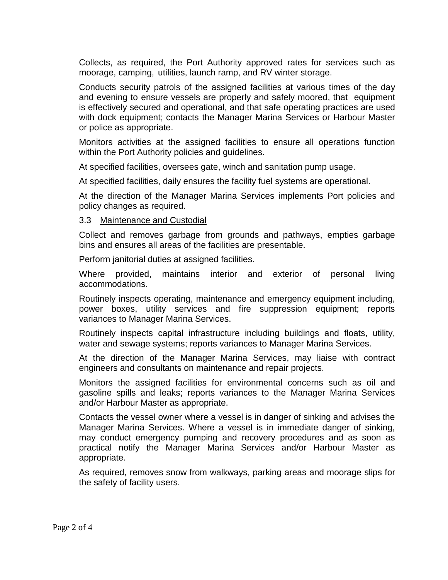Collects, as required, the Port Authority approved rates for services such as moorage, camping, utilities, launch ramp, and RV winter storage.

Conducts security patrols of the assigned facilities at various times of the day and evening to ensure vessels are properly and safely moored, that equipment is effectively secured and operational, and that safe operating practices are used with dock equipment; contacts the Manager Marina Services or Harbour Master or police as appropriate.

Monitors activities at the assigned facilities to ensure all operations function within the Port Authority policies and guidelines.

At specified facilities, oversees gate, winch and sanitation pump usage.

At specified facilities, daily ensures the facility fuel systems are operational.

At the direction of the Manager Marina Services implements Port policies and policy changes as required.

### 3.3 Maintenance and Custodial

Collect and removes garbage from grounds and pathways, empties garbage bins and ensures all areas of the facilities are presentable.

Perform janitorial duties at assigned facilities.

Where provided, maintains interior and exterior of personal living accommodations.

Routinely inspects operating, maintenance and emergency equipment including, power boxes, utility services and fire suppression equipment; reports variances to Manager Marina Services.

Routinely inspects capital infrastructure including buildings and floats, utility, water and sewage systems; reports variances to Manager Marina Services.

At the direction of the Manager Marina Services, may liaise with contract engineers and consultants on maintenance and repair projects.

Monitors the assigned facilities for environmental concerns such as oil and gasoline spills and leaks; reports variances to the Manager Marina Services and/or Harbour Master as appropriate.

Contacts the vessel owner where a vessel is in danger of sinking and advises the Manager Marina Services. Where a vessel is in immediate danger of sinking, may conduct emergency pumping and recovery procedures and as soon as practical notify the Manager Marina Services and/or Harbour Master as appropriate.

As required, removes snow from walkways, parking areas and moorage slips for the safety of facility users.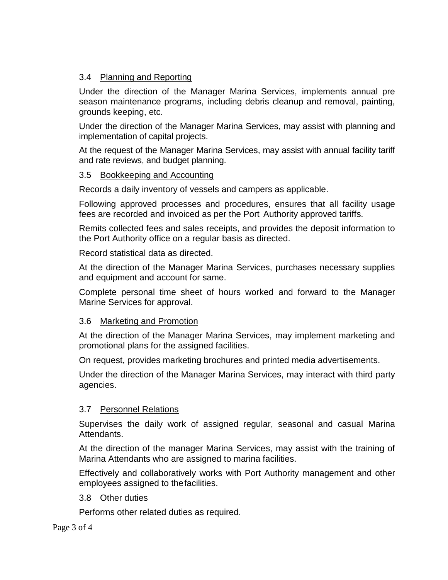# 3.4 Planning and Reporting

Under the direction of the Manager Marina Services, implements annual pre season maintenance programs, including debris cleanup and removal, painting, grounds keeping, etc.

Under the direction of the Manager Marina Services, may assist with planning and implementation of capital projects.

At the request of the Manager Marina Services, may assist with annual facility tariff and rate reviews, and budget planning.

# 3.5 Bookkeeping and Accounting

Records a daily inventory of vessels and campers as applicable.

Following approved processes and procedures, ensures that all facility usage fees are recorded and invoiced as per the Port Authority approved tariffs.

Remits collected fees and sales receipts, and provides the deposit information to the Port Authority office on a regular basis as directed.

Record statistical data as directed.

At the direction of the Manager Marina Services, purchases necessary supplies and equipment and account for same.

Complete personal time sheet of hours worked and forward to the Manager Marine Services for approval.

### 3.6 Marketing and Promotion

At the direction of the Manager Marina Services, may implement marketing and promotional plans for the assigned facilities.

On request, provides marketing brochures and printed media advertisements.

Under the direction of the Manager Marina Services, may interact with third party agencies.

### 3.7 Personnel Relations

Supervises the daily work of assigned regular, seasonal and casual Marina Attendants.

At the direction of the manager Marina Services, may assist with the training of Marina Attendants who are assigned to marina facilities.

Effectively and collaboratively works with Port Authority management and other employees assigned to thefacilities.

### 3.8 Other duties

Performs other related duties as required.